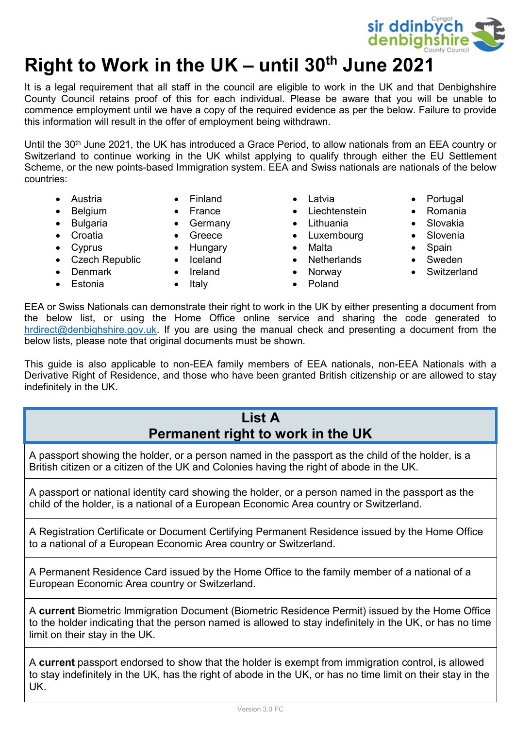

# **Right to Work in the UK – until 30th June 2021**

It is a legal requirement that all staff in the council are eligible to work in the UK and that Denbighshire County Council retains proof of this for each individual. Please be aware that you will be unable to commence employment until we have a copy of the required evidence as per the below. Failure to provide this information will result in the offer of employment being withdrawn.

Until the 30<sup>th</sup> June 2021, the UK has introduced a Grace Period, to allow nationals from an EEA country or Switzerland to continue working in the UK whilst applying to qualify through either the EU Settlement Scheme, or the new points-based Immigration system. EEA and Swiss nationals are nationals of the below countries:

- Austria
- Belgium
- Bulgaria
- Croatia
- Cyprus
- Czech Republic
- Denmark
- Estonia
- Finland
- France
- Germany
- Greece
- Hungary
- Iceland
- Ireland
- Italy
- Latvia
- Liechtenstein
- Lithuania
- Luxembourg
- Malta
- Netherlands
- Norway
- Poland
- Portugal
- Romania
- Slovakia
- Slovenia
- Spain
- Sweden
- Switzerland

EEA or Swiss Nationals can demonstrate their right to work in the UK by either presenting a document from the below list, or using the Home Office online service and sharing the code generated to [hrdirect@denbighshire.gov.uk.](mailto:hrdirect@denbighshire.gov.uk) If you are using the manual check and presenting a document from the below lists, please note that original documents must be shown.

This guide is also applicable to non-EEA family members of EEA nationals, non-EEA Nationals with a Derivative Right of Residence, and those who have been granted British citizenship or are allowed to stay indefinitely in the UK.

#### **List A Permanent right to work in the UK**

A passport showing the holder, or a person named in the passport as the child of the holder, is a British citizen or a citizen of the UK and Colonies having the right of abode in the UK.

A passport or national identity card showing the holder, or a person named in the passport as the child of the holder, is a national of a European Economic Area country or Switzerland.

A Registration Certificate or Document Certifying Permanent Residence issued by the Home Office to a national of a European Economic Area country or Switzerland.

A Permanent Residence Card issued by the Home Office to the family member of a national of a European Economic Area country or Switzerland.

A **current** Biometric Immigration Document (Biometric Residence Permit) issued by the Home Office to the holder indicating that the person named is allowed to stay indefinitely in the UK, or has no time limit on their stay in the UK.

A **current** passport endorsed to show that the holder is exempt from immigration control, is allowed to stay indefinitely in the UK, has the right of abode in the UK, or has no time limit on their stay in the UK.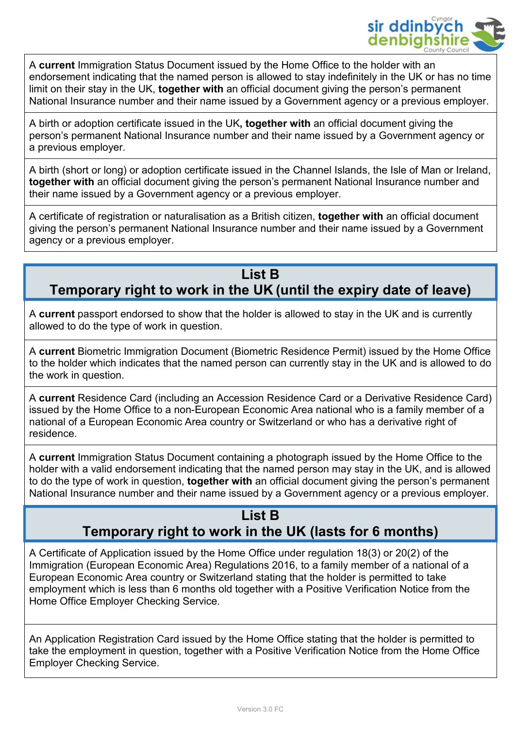

A **current** Immigration Status Document issued by the Home Office to the holder with an endorsement indicating that the named person is allowed to stay indefinitely in the UK or has no time limit on their stay in the UK, **together with** an official document giving the person's permanent National Insurance number and their name issued by a Government agency or a previous employer.

A birth or adoption certificate issued in the UK**, together with** an official document giving the person's permanent National Insurance number and their name issued by a Government agency or a previous employer.

A birth (short or long) or adoption certificate issued in the Channel Islands, the Isle of Man or Ireland, **together with** an official document giving the person's permanent National Insurance number and their name issued by a Government agency or a previous employer.

A certificate of registration or naturalisation as a British citizen, **together with** an official document giving the person's permanent National Insurance number and their name issued by a Government agency or a previous employer.

#### **List B Temporary right to work in the UK (until the expiry date of leave)**

A **current** passport endorsed to show that the holder is allowed to stay in the UK and is currently allowed to do the type of work in question.

A **current** Biometric Immigration Document (Biometric Residence Permit) issued by the Home Office to the holder which indicates that the named person can currently stay in the UK and is allowed to do the work in question.

A **current** Residence Card (including an Accession Residence Card or a Derivative Residence Card) issued by the Home Office to a non-European Economic Area national who is a family member of a national of a European Economic Area country or Switzerland or who has a derivative right of residence.

A **current** Immigration Status Document containing a photograph issued by the Home Office to the holder with a valid endorsement indicating that the named person may stay in the UK, and is allowed to do the type of work in question, **together with** an official document giving the person's permanent National Insurance number and their name issued by a Government agency or a previous employer.

## **List B Temporary right to work in the UK (lasts for 6 months)**

A Certificate of Application issued by the Home Office under regulation 18(3) or 20(2) of the Immigration (European Economic Area) Regulations 2016, to a family member of a national of a European Economic Area country or Switzerland stating that the holder is permitted to take employment which is less than 6 months old together with a Positive Verification Notice from the Home Office Employer Checking Service.

An Application Registration Card issued by the Home Office stating that the holder is permitted to take the employment in question, together with a Positive Verification Notice from the Home Office Employer Checking Service.